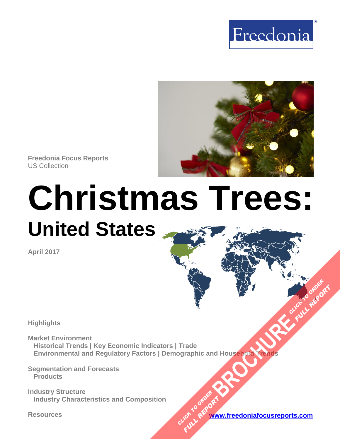



**Freedonia Focus Reports** US Collection

# **Christmas Trees: United States**

**April 2017**

**Highlights**

**Market Environment Historical Trends | Key Economic Indicators | Trade Environmental and Regulatory Factors | Demographic and Household Trends [BROCHURE](https://www.freedoniafocusreports.com/Christmas-Trees-United-States-10829520/?progid=89541) CLICK TO ORDER** 

**Segmentation and Forecasts Products**

**Industry Structure Industry Characteristics and Composition**

**Resources [www.freedoniafocusreports.com](https://www.freedoniafocusreports.com/redirect.asp?progid=89541&url=/)** CLICK TO ORDER **FULL REPORT** 

**FULL REP**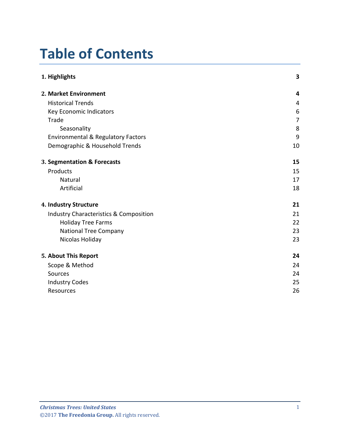# **Table of Contents**

| 1. Highlights                                     | 3              |
|---------------------------------------------------|----------------|
| 2. Market Environment                             | 4              |
| <b>Historical Trends</b>                          | 4              |
| Key Economic Indicators                           | 6              |
| Trade                                             | $\overline{7}$ |
| Seasonality                                       | 8              |
| <b>Environmental &amp; Regulatory Factors</b>     | 9              |
| Demographic & Household Trends                    | 10             |
| 3. Segmentation & Forecasts                       | 15             |
| Products                                          | 15             |
| Natural                                           | 17             |
| Artificial                                        | 18             |
| 4. Industry Structure                             | 21             |
| <b>Industry Characteristics &amp; Composition</b> | 21             |
| <b>Holiday Tree Farms</b>                         | 22             |
| <b>National Tree Company</b>                      | 23             |
| Nicolas Holiday                                   | 23             |
| 5. About This Report                              | 24             |
| Scope & Method                                    | 24             |
| Sources                                           | 24             |
| <b>Industry Codes</b>                             | 25             |
| Resources                                         | 26             |
|                                                   |                |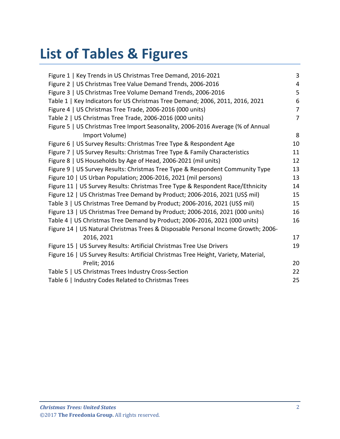# **List of Tables & Figures**

| Figure 1   Key Trends in US Christmas Tree Demand, 2016-2021                        | 3              |
|-------------------------------------------------------------------------------------|----------------|
| Figure 2   US Christmas Tree Value Demand Trends, 2006-2016                         | $\overline{4}$ |
| Figure 3   US Christmas Tree Volume Demand Trends, 2006-2016                        | 5              |
| Table 1   Key Indicators for US Christmas Tree Demand; 2006, 2011, 2016, 2021       | 6              |
| Figure 4   US Christmas Tree Trade, 2006-2016 (000 units)                           | 7              |
| Table 2   US Christmas Tree Trade, 2006-2016 (000 units)                            | 7              |
| Figure 5   US Christmas Tree Import Seasonality, 2006-2016 Average (% of Annual     |                |
| Import Volume)                                                                      | 8              |
| Figure 6   US Survey Results: Christmas Tree Type & Respondent Age                  | 10             |
| Figure 7   US Survey Results: Christmas Tree Type & Family Characteristics          | 11             |
| Figure 8   US Households by Age of Head, 2006-2021 (mil units)                      | 12             |
| Figure 9   US Survey Results: Christmas Tree Type & Respondent Community Type       | 13             |
| Figure 10   US Urban Population; 2006-2016, 2021 (mil persons)                      | 13             |
| Figure 11   US Survey Results: Christmas Tree Type & Respondent Race/Ethnicity      | 14             |
| Figure 12   US Christmas Tree Demand by Product; 2006-2016, 2021 (US\$ mil)         | 15             |
| Table 3   US Christmas Tree Demand by Product; 2006-2016, 2021 (US\$ mil)           | 15             |
| Figure 13   US Christmas Tree Demand by Product; 2006-2016, 2021 (000 units)        | 16             |
| Table 4   US Christmas Tree Demand by Product; 2006-2016, 2021 (000 units)          | 16             |
| Figure 14   US Natural Christmas Trees & Disposable Personal Income Growth; 2006-   |                |
| 2016, 2021                                                                          | 17             |
| Figure 15   US Survey Results: Artificial Christmas Tree Use Drivers                | 19             |
| Figure 16   US Survey Results: Artificial Christmas Tree Height, Variety, Material, |                |
| Prelit; 2016                                                                        | 20             |
| Table 5   US Christmas Trees Industry Cross-Section                                 | 22             |
| Table 6   Industry Codes Related to Christmas Trees                                 | 25             |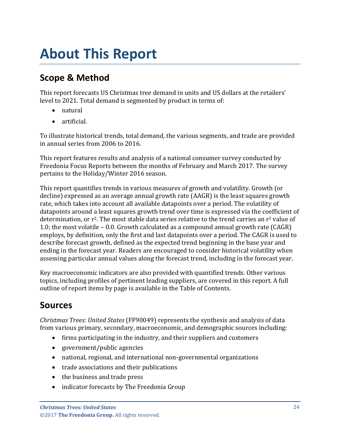# <span id="page-3-0"></span>**About This Report**

# <span id="page-3-1"></span>**Scope & Method**

This report forecasts US Christmas tree demand in units and US dollars at the retailers' level to 2021. Total demand is segmented by product in terms of:

- natural
- artificial.

To illustrate historical trends, total demand, the various segments, and trade are provided in annual series from 2006 to 2016.

This report features results and analysis of a national consumer survey conducted by Freedonia Focus Reports between the months of February and March 2017. The survey pertains to the Holiday/Winter 2016 season.

This report quantifies trends in various measures of growth and volatility. Growth (or decline) expressed as an average annual growth rate (AAGR) is the least squares growth rate, which takes into account all available datapoints over a period. The volatility of datapoints around a least squares growth trend over time is expressed via the coefficient of determination, or  $r^2$ . The most stable data series relative to the trend carries an  $r^2$  value of 1.0; the most volatile – 0.0. Growth calculated as a compound annual growth rate (CAGR) employs, by definition, only the first and last datapoints over a period. The CAGR is used to describe forecast growth, defined as the expected trend beginning in the base year and ending in the forecast year. Readers are encouraged to consider historical volatility when assessing particular annual values along the forecast trend, including in the forecast year.

Key macroeconomic indicators are also provided with quantified trends. Other various topics, including profiles of pertinent leading suppliers, are covered in this report. A full outline of report items by page is available in the Table of Contents.

## <span id="page-3-2"></span>**Sources**

*Christmas Trees: United States* (FF90049) represents the synthesis and analysis of data from various primary, secondary, macroeconomic, and demographic sources including:

- firms participating in the industry, and their suppliers and customers
- government/public agencies
- national, regional, and international non-governmental organizations
- trade associations and their publications
- the business and trade press
- indicator forecasts by The Freedonia Group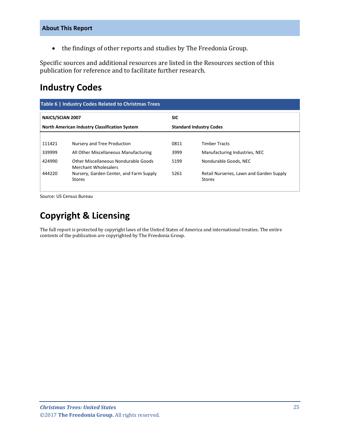• the findings of other reports and studies by The Freedonia Group.

Specific sources and additional resources are listed in the Resources section of this publication for reference and to facilitate further research.

## <span id="page-4-0"></span>**Industry Codes**

<span id="page-4-1"></span>

| Table 6   Industry Codes Related to Christmas Trees                                    |                                                                     |            |                                                           |  |
|----------------------------------------------------------------------------------------|---------------------------------------------------------------------|------------|-----------------------------------------------------------|--|
| <b>NAICS/SCIAN 2007</b>                                                                |                                                                     | <b>SIC</b> |                                                           |  |
| <b>North American Industry Classification System</b><br><b>Standard Industry Codes</b> |                                                                     |            |                                                           |  |
|                                                                                        |                                                                     |            |                                                           |  |
| 111421                                                                                 | Nursery and Tree Production                                         | 0811       | <b>Timber Tracts</b>                                      |  |
| 339999                                                                                 | All Other Miscellaneous Manufacturing                               | 3999       | Manufacturing Industries, NEC                             |  |
| 424990                                                                                 | Other Miscellaneous Nondurable Goods<br><b>Merchant Wholesalers</b> | 5199       | Nondurable Goods, NEC                                     |  |
| 444220                                                                                 | Nursery, Garden Center, and Farm Supply<br><b>Stores</b>            | 5261       | Retail Nurseries, Lawn and Garden Supply<br><b>Stores</b> |  |

Source: US Census Bureau

# **Copyright & Licensing**

The full report is protected by copyright laws of the United States of America and international treaties. The entire contents of the publication are copyrighted by The Freedonia Group.